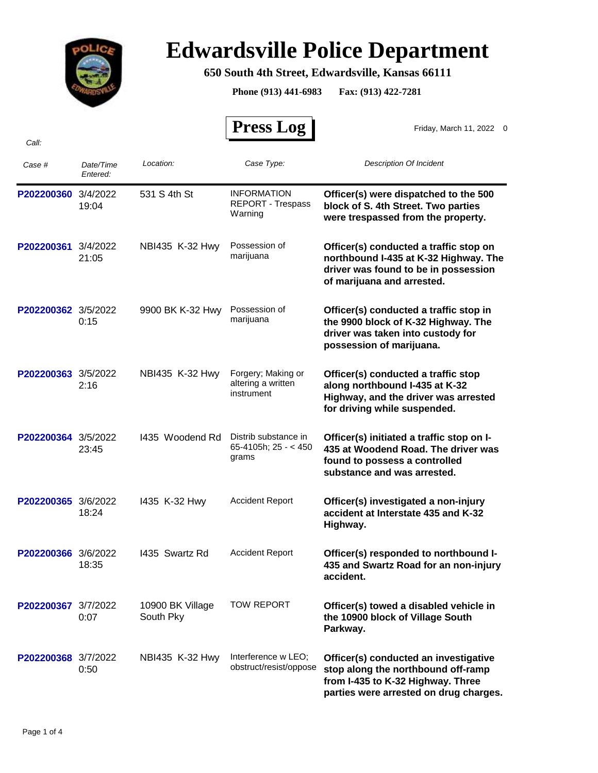

## **Edwardsville Police Department**

## **650 South 4th Street, Edwardsville, Kansas 66111**

**Phone (913) 441-6983 Fax: (913) 422-7281**

 **Press Log** 

Friday, March 11, 2022 0

| Case #              | Date/Time<br>Entered: | Location:                     | Case Type:                                             | <b>Description Of Incident</b>                                                                                                                             |
|---------------------|-----------------------|-------------------------------|--------------------------------------------------------|------------------------------------------------------------------------------------------------------------------------------------------------------------|
| P202200360          | 3/4/2022<br>19:04     | 531 S 4th St                  | <b>INFORMATION</b><br>REPORT - Trespass<br>Warning     | Officer(s) were dispatched to the 500<br>block of S. 4th Street. Two parties<br>were trespassed from the property.                                         |
| P202200361 3/4/2022 | 21:05                 | NBI435 K-32 Hwy               | Possession of<br>marijuana                             | Officer(s) conducted a traffic stop on<br>northbound I-435 at K-32 Highway. The<br>driver was found to be in possession<br>of marijuana and arrested.      |
| P202200362 3/5/2022 | 0:15                  | 9900 BK K-32 Hwy              | Possession of<br>marijuana                             | Officer(s) conducted a traffic stop in<br>the 9900 block of K-32 Highway. The<br>driver was taken into custody for<br>possession of marijuana.             |
| P202200363 3/5/2022 | 2:16                  | NBI435 K-32 Hwy               | Forgery; Making or<br>altering a written<br>instrument | Officer(s) conducted a traffic stop<br>along northbound I-435 at K-32<br>Highway, and the driver was arrested<br>for driving while suspended.              |
| P202200364 3/5/2022 | 23:45                 | 1435 Woodend Rd               | Distrib substance in<br>65-4105h; $25 - 450$<br>grams  | Officer(s) initiated a traffic stop on I-<br>435 at Woodend Road. The driver was<br>found to possess a controlled<br>substance and was arrested.           |
| P202200365 3/6/2022 | 18:24                 | 1435 K-32 Hwy                 | <b>Accident Report</b>                                 | Officer(s) investigated a non-injury<br>accident at Interstate 435 and K-32<br>Highway.                                                                    |
| P202200366 3/6/2022 | 18:35                 | 1435 Swartz Rd                | <b>Accident Report</b>                                 | Officer(s) responded to northbound I-<br>435 and Swartz Road for an non-injury<br>accident.                                                                |
| P202200367 3/7/2022 | 0:07                  | 10900 BK Village<br>South Pky | <b>TOW REPORT</b>                                      | Officer(s) towed a disabled vehicle in<br>the 10900 block of Village South<br>Parkway.                                                                     |
| P202200368 3/7/2022 | 0:50                  | NBI435 K-32 Hwy               | Interference w LEO;<br>obstruct/resist/oppose          | Officer(s) conducted an investigative<br>stop along the northbound off-ramp<br>from I-435 to K-32 Highway. Three<br>parties were arrested on drug charges. |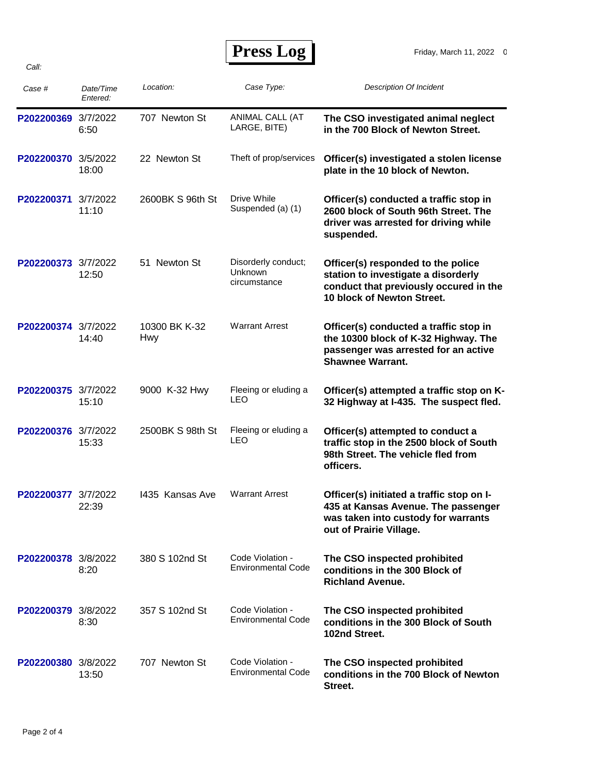*Call:*

 **Press Log** 

| Case #              | Date/Time<br>Entered: | Location:            | Case Type:                                     | <b>Description Of Incident</b>                                                                                                                     |
|---------------------|-----------------------|----------------------|------------------------------------------------|----------------------------------------------------------------------------------------------------------------------------------------------------|
| P202200369 3/7/2022 | 6:50                  | 707 Newton St        | ANIMAL CALL (AT<br>LARGE, BITE)                | The CSO investigated animal neglect<br>in the 700 Block of Newton Street.                                                                          |
| P202200370 3/5/2022 | 18:00                 | 22 Newton St         | Theft of prop/services                         | Officer(s) investigated a stolen license<br>plate in the 10 block of Newton.                                                                       |
| P202200371 3/7/2022 | 11:10                 | 2600BK S 96th St     | Drive While<br>Suspended (a) (1)               | Officer(s) conducted a traffic stop in<br>2600 block of South 96th Street. The<br>driver was arrested for driving while<br>suspended.              |
| P202200373 3/7/2022 | 12:50                 | 51 Newton St         | Disorderly conduct;<br>Unknown<br>circumstance | Officer(s) responded to the police<br>station to investigate a disorderly<br>conduct that previously occured in the<br>10 block of Newton Street.  |
| P202200374 3/7/2022 | 14:40                 | 10300 BK K-32<br>Hwy | <b>Warrant Arrest</b>                          | Officer(s) conducted a traffic stop in<br>the 10300 block of K-32 Highway. The<br>passenger was arrested for an active<br><b>Shawnee Warrant.</b>  |
| P202200375 3/7/2022 | 15:10                 | 9000 K-32 Hwy        | Fleeing or eluding a<br>LEO                    | Officer(s) attempted a traffic stop on K-<br>32 Highway at I-435. The suspect fled.                                                                |
| P202200376 3/7/2022 | 15:33                 | 2500BK S 98th St     | Fleeing or eluding a<br>LEO                    | Officer(s) attempted to conduct a<br>traffic stop in the 2500 block of South<br>98th Street. The vehicle fled from<br>officers.                    |
| P202200377 3/7/2022 | 22:39                 | 1435 Kansas Ave      | <b>Warrant Arrest</b>                          | Officer(s) initiated a traffic stop on I-<br>435 at Kansas Avenue. The passenger<br>was taken into custody for warrants<br>out of Prairie Village. |
| P202200378 3/8/2022 | 8:20                  | 380 S 102nd St       | Code Violation -<br>Environmental Code         | The CSO inspected prohibited<br>conditions in the 300 Block of<br><b>Richland Avenue.</b>                                                          |
| P202200379 3/8/2022 | 8:30                  | 357 S 102nd St       | Code Violation -<br><b>Environmental Code</b>  | The CSO inspected prohibited<br>conditions in the 300 Block of South<br>102nd Street.                                                              |
| P202200380 3/8/2022 | 13:50                 | 707 Newton St        | Code Violation -<br><b>Environmental Code</b>  | The CSO inspected prohibited<br>conditions in the 700 Block of Newton<br>Street.                                                                   |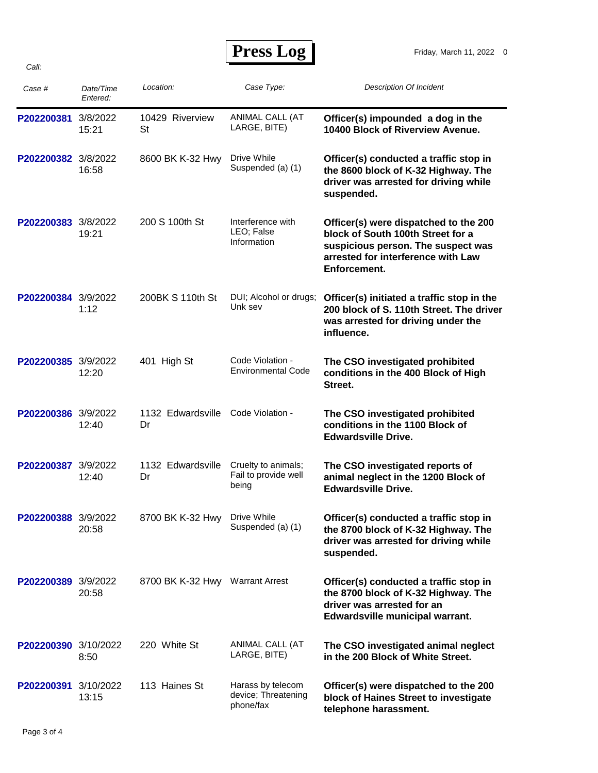*Call:*

| Case #               | Date/Time<br>Entered: | Location:                       | Case Type:                                            | <b>Description Of Incident</b>                                                                                                                                         |
|----------------------|-----------------------|---------------------------------|-------------------------------------------------------|------------------------------------------------------------------------------------------------------------------------------------------------------------------------|
| P202200381 3/8/2022  | 15:21                 | 10429 Riverview<br><b>St</b>    | ANIMAL CALL (AT<br>LARGE, BITE)                       | Officer(s) impounded a dog in the<br>10400 Block of Riverview Avenue.                                                                                                  |
| P202200382 3/8/2022  | 16:58                 | 8600 BK K-32 Hwy                | Drive While<br>Suspended (a) (1)                      | Officer(s) conducted a traffic stop in<br>the 8600 block of K-32 Highway. The<br>driver was arrested for driving while<br>suspended.                                   |
| P202200383 3/8/2022  | 19:21                 | 200 S 100th St                  | Interference with<br>LEO; False<br>Information        | Officer(s) were dispatched to the 200<br>block of South 100th Street for a<br>suspicious person. The suspect was<br>arrested for interference with Law<br>Enforcement. |
| P202200384 3/9/2022  | 1:12                  | 200BK S 110th St                | DUI; Alcohol or drugs;<br>Unk sev                     | Officer(s) initiated a traffic stop in the<br>200 block of S. 110th Street. The driver<br>was arrested for driving under the<br>influence.                             |
| P202200385 3/9/2022  | 12:20                 | 401 High St                     | Code Violation -<br><b>Environmental Code</b>         | The CSO investigated prohibited<br>conditions in the 400 Block of High<br>Street.                                                                                      |
| P202200386 3/9/2022  | 12:40                 | 1132 Edwardsville<br>Dr         | Code Violation -                                      | The CSO investigated prohibited<br>conditions in the 1100 Block of<br><b>Edwardsville Drive.</b>                                                                       |
| P202200387 3/9/2022  | 12:40                 | 1132 Edwardsville<br>Dr         | Cruelty to animals;<br>Fail to provide well<br>being  | The CSO investigated reports of<br>animal neglect in the 1200 Block of<br><b>Edwardsville Drive.</b>                                                                   |
| P202200388 3/9/2022  | 20:58                 | 8700 BK K-32 Hwy                | Drive While<br>Suspended (a) (1)                      | Officer(s) conducted a traffic stop in<br>the 8700 block of K-32 Highway. The<br>driver was arrested for driving while<br>suspended.                                   |
| P202200389 3/9/2022  | 20:58                 | 8700 BK K-32 Hwy Warrant Arrest |                                                       | Officer(s) conducted a traffic stop in<br>the 8700 block of K-32 Highway. The<br>driver was arrested for an<br>Edwardsville municipal warrant.                         |
| P202200390 3/10/2022 | 8:50                  | 220 White St                    | ANIMAL CALL (AT<br>LARGE, BITE)                       | The CSO investigated animal neglect<br>in the 200 Block of White Street.                                                                                               |
| P202200391 3/10/2022 | 13:15                 | 113 Haines St                   | Harass by telecom<br>device; Threatening<br>phone/fax | Officer(s) were dispatched to the 200<br>block of Haines Street to investigate<br>telephone harassment.                                                                |